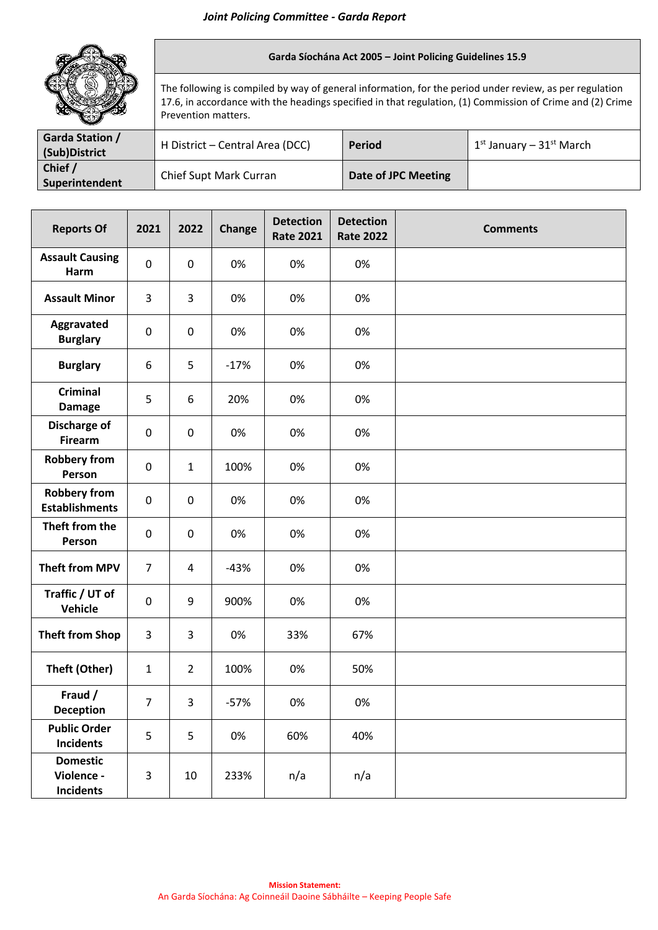

## **Garda Síochána Act 2005 – Joint Policing Guidelines 15.9**

The following is compiled by way of general information, for the period under review, as per regulation 17.6, in accordance with the headings specified in that regulation, (1) Commission of Crime and (2) Crime Prevention matters.

| <b>Garda Station /</b><br>(Sub)District | H District – Central Area (DCC) | <b>Period</b>       | $1^{st}$ January – 31st March |
|-----------------------------------------|---------------------------------|---------------------|-------------------------------|
| Chief /<br>Superintendent               | Chief Supt Mark Curran          | Date of JPC Meeting |                               |

| <b>Reports Of</b>                                 | 2021             | 2022           | Change | <b>Detection</b><br><b>Rate 2021</b> | <b>Detection</b><br><b>Rate 2022</b> | <b>Comments</b> |
|---------------------------------------------------|------------------|----------------|--------|--------------------------------------|--------------------------------------|-----------------|
| <b>Assault Causing</b><br>Harm                    | $\pmb{0}$        | $\pmb{0}$      | 0%     | 0%                                   | 0%                                   |                 |
| <b>Assault Minor</b>                              | 3                | 3              | 0%     | 0%                                   | 0%                                   |                 |
| Aggravated<br><b>Burglary</b>                     | $\pmb{0}$        | $\pmb{0}$      | 0%     | 0%                                   | 0%                                   |                 |
| <b>Burglary</b>                                   | 6                | 5              | $-17%$ | 0%                                   | 0%                                   |                 |
| <b>Criminal</b><br><b>Damage</b>                  | 5                | 6              | 20%    | 0%                                   | 0%                                   |                 |
| <b>Discharge of</b><br><b>Firearm</b>             | $\boldsymbol{0}$ | 0              | 0%     | 0%                                   | 0%                                   |                 |
| <b>Robbery from</b><br>Person                     | $\boldsymbol{0}$ | $\mathbf{1}$   | 100%   | 0%                                   | 0%                                   |                 |
| <b>Robbery from</b><br><b>Establishments</b>      | $\pmb{0}$        | $\pmb{0}$      | 0%     | 0%                                   | 0%                                   |                 |
| Theft from the<br>Person                          | $\pmb{0}$        | $\pmb{0}$      | 0%     | 0%                                   | 0%                                   |                 |
| <b>Theft from MPV</b>                             | $\overline{7}$   | 4              | $-43%$ | 0%                                   | 0%                                   |                 |
| Traffic / UT of<br><b>Vehicle</b>                 | $\pmb{0}$        | 9              | 900%   | 0%                                   | 0%                                   |                 |
| <b>Theft from Shop</b>                            | 3                | 3              | 0%     | 33%                                  | 67%                                  |                 |
| Theft (Other)                                     | $\mathbf{1}$     | $\overline{2}$ | 100%   | 0%                                   | 50%                                  |                 |
| Fraud /<br><b>Deception</b>                       | 7                | 3              | $-57%$ | 0%                                   | 0%                                   |                 |
| <b>Public Order</b><br><b>Incidents</b>           | 5                | 5              | 0%     | 60%                                  | 40%                                  |                 |
| <b>Domestic</b><br>Violence -<br><b>Incidents</b> | 3                | 10             | 233%   | n/a                                  | n/a                                  |                 |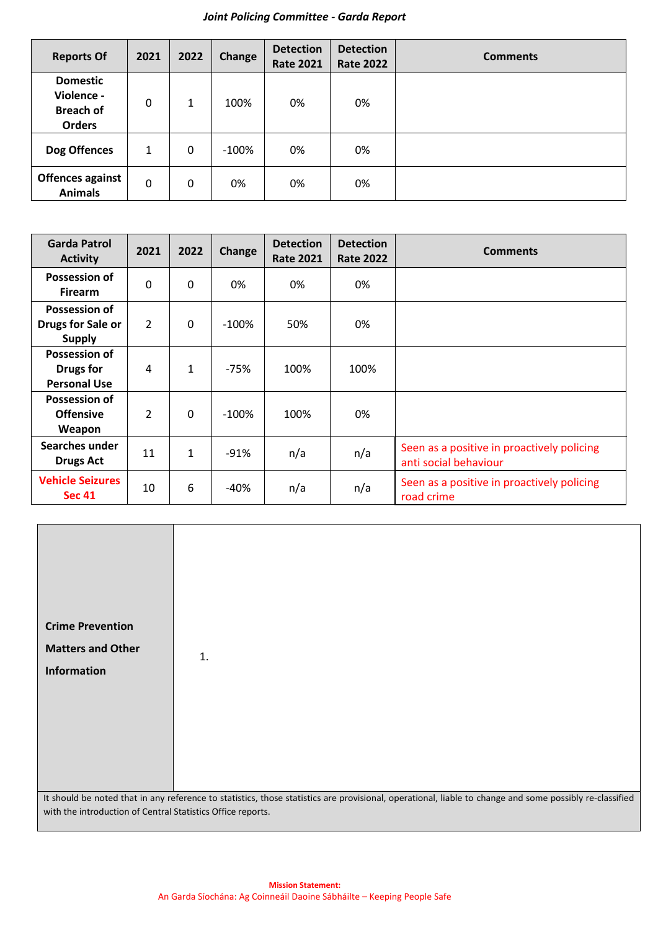## *Joint Policing Committee - Garda Report*

| <b>Reports Of</b>                                                  | 2021     | 2022 | Change  | <b>Detection</b><br><b>Rate 2021</b> | <b>Detection</b><br><b>Rate 2022</b> | <b>Comments</b> |
|--------------------------------------------------------------------|----------|------|---------|--------------------------------------|--------------------------------------|-----------------|
| <b>Domestic</b><br>Violence -<br><b>Breach of</b><br><b>Orders</b> | 0        | 1    | 100%    | 0%                                   | 0%                                   |                 |
| Dog Offences                                                       | 1        | 0    | $-100%$ | 0%                                   | 0%                                   |                 |
| <b>Offences against</b><br><b>Animals</b>                          | $\Omega$ | 0    | 0%      | 0%                                   | 0%                                   |                 |

| <b>Garda Patrol</b><br><b>Activity</b>                          | 2021           | 2022         | Change  | <b>Detection</b><br><b>Rate 2021</b> | <b>Detection</b><br><b>Rate 2022</b> | <b>Comments</b>                                                     |
|-----------------------------------------------------------------|----------------|--------------|---------|--------------------------------------|--------------------------------------|---------------------------------------------------------------------|
| Possession of<br><b>Firearm</b>                                 | $\Omega$       | $\mathbf{0}$ | 0%      | 0%                                   | 0%                                   |                                                                     |
| Possession of<br>Drugs for Sale or<br><b>Supply</b>             | $\overline{2}$ | $\mathbf{0}$ | $-100%$ | 50%                                  | 0%                                   |                                                                     |
| <b>Possession of</b><br><b>Drugs for</b><br><b>Personal Use</b> | 4              | $\mathbf{1}$ | $-75%$  | 100%                                 | 100%                                 |                                                                     |
| <b>Possession of</b><br><b>Offensive</b><br>Weapon              | $\overline{2}$ | 0            | $-100%$ | 100%                                 | 0%                                   |                                                                     |
| Searches under<br><b>Drugs Act</b>                              | 11             | $\mathbf{1}$ | $-91%$  | n/a                                  | n/a                                  | Seen as a positive in proactively policing<br>anti social behaviour |
| <b>Vehicle Seizures</b><br><b>Sec 41</b>                        | 10             | 6            | $-40%$  | n/a                                  | n/a                                  | Seen as a positive in proactively policing<br>road crime            |

| <b>Crime Prevention</b><br><b>Matters and Other</b><br><b>Information</b>                                                                                                                                              | 1. |  |
|------------------------------------------------------------------------------------------------------------------------------------------------------------------------------------------------------------------------|----|--|
| It should be noted that in any reference to statistics, those statistics are provisional, operational, liable to change and some possibly re-classified<br>with the introduction of Central Statistics Office reports. |    |  |